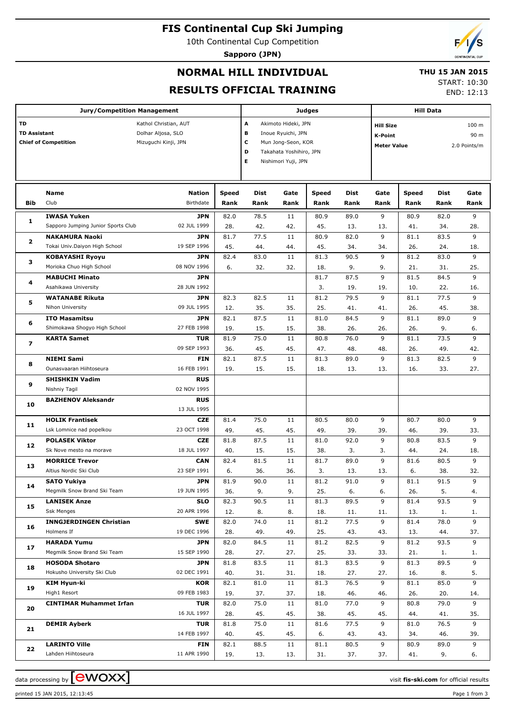## **FIS Continental Cup Ski Jumping**

10th Continental Cup Competition

**Sapporo (JPN)**



END: 12:13

# **NORMAL HILL INDIVIDUAL RESULTS OFFICIAL TRAINING**

#### **THU 15 JAN 2015** START: 10:30

|                                                                                                                                 | <b>Jury/Competition Management</b>                                 |                                                        |              |                                      | Judges                                                                                                            | <b>Hill Data</b> |             |                                                          |             |                                          |              |
|---------------------------------------------------------------------------------------------------------------------------------|--------------------------------------------------------------------|--------------------------------------------------------|--------------|--------------------------------------|-------------------------------------------------------------------------------------------------------------------|------------------|-------------|----------------------------------------------------------|-------------|------------------------------------------|--------------|
| TD<br>Kathol Christian, AUT<br><b>TD Assistant</b><br>Dolhar Aljosa, SLO<br><b>Chief of Competition</b><br>Mizuguchi Kinji, JPN |                                                                    |                                                        |              | A<br>в<br>C<br>D<br>Е                | Akimoto Hideki, JPN<br>Inoue Ryuichi, JPN<br>Mun Jong-Seon, KOR<br>Takahata Yoshihiro, JPN<br>Nishimori Yuji, JPN |                  |             | <b>Hill Size</b><br><b>K-Point</b><br><b>Meter Value</b> |             | 100 <sub>m</sub><br>90 m<br>2.0 Points/m |              |
|                                                                                                                                 | Name                                                               | <b>Nation</b>                                          | <b>Speed</b> | Dist<br>Gate<br><b>Speed</b><br>Dist |                                                                                                                   |                  |             | Gate                                                     | Speed       | Dist                                     | Gate         |
| Bib                                                                                                                             | Club                                                               | Birthdate                                              | Rank         | Rank                                 | Rank                                                                                                              | Rank             | Rank        | Rank                                                     | Rank        | Rank                                     | Rank         |
|                                                                                                                                 | <b>IWASA Yuken</b>                                                 | <b>JPN</b>                                             | 82.0         | 78.5                                 | 11                                                                                                                | 80.9             | 89.0        | 9                                                        | 80.9        | 82.0                                     | 9            |
| 1                                                                                                                               | Sapporo Jumping Junior Sports Club                                 | 02 JUL 1999                                            | 28.          | 42.                                  | 42.                                                                                                               | 45.              | 13.         | 13.                                                      | 41.         | 34.                                      | 28.          |
|                                                                                                                                 | <b>NAKAMURA Naoki</b>                                              | <b>JPN</b>                                             | 81.7         | 77.5                                 | 11                                                                                                                | 80.9             | 82.0        | 9                                                        | 81.1        | 83.5                                     | 9            |
| 2                                                                                                                               | Tokai Univ.Daiyon High School                                      | 19 SEP 1996                                            | 45.          | 44.                                  | 44.                                                                                                               | 45.              | 34.         | 34.                                                      | 26.         | 24.                                      | 18.          |
|                                                                                                                                 | <b>KOBAYASHI Ryoyu</b>                                             | <b>JPN</b>                                             | 82.4         | 83.0                                 | 11                                                                                                                | 81.3             | 90.5        | 9                                                        | 81.2        | 83.0                                     | 9            |
| з                                                                                                                               | Morioka Chuo High School                                           | 08 NOV 1996                                            | 6.           | 32.                                  | 32.                                                                                                               | 18.              | 9.          | 9.                                                       | 21.         | 31.                                      | 25.          |
| 4                                                                                                                               | <b>MABUCHI Minato</b>                                              | <b>JPN</b>                                             |              |                                      |                                                                                                                   | 81.7             | 87.5        | 9                                                        | 81.5        | 84.5                                     | 9            |
|                                                                                                                                 | Asahikawa University                                               | 28 JUN 1992                                            |              |                                      |                                                                                                                   | 3.               | 19.         | 19.                                                      | 10.         | 22.                                      | 16.          |
| 5                                                                                                                               | <b>WATANABE Rikuta</b>                                             | <b>JPN</b>                                             | 82.3         | 82.5                                 | 11                                                                                                                | 81.2             | 79.5        | 9                                                        | 81.1        | 77.5                                     | 9            |
|                                                                                                                                 | Nihon University                                                   | 09 JUL 1995                                            | 12.          | 35.                                  | 35.                                                                                                               | 25.              | 41.         | 41.                                                      | 26.         | 45.                                      | 38.          |
| 6                                                                                                                               | <b>ITO Masamitsu</b>                                               | <b>JPN</b>                                             | 82.1         | 87.5                                 | 11                                                                                                                | 81.0             | 84.5        | 9                                                        | 81.1        | 89.0                                     | 9            |
| $\overline{ }$                                                                                                                  | Shimokawa Shogyo High School                                       | 27 FEB 1998                                            | 19.          | 15.                                  | 15.                                                                                                               | 38.              | 26.         | 26.                                                      | 26.         | 9.                                       | 6.           |
|                                                                                                                                 | <b>KARTA Samet</b>                                                 | <b>TUR</b>                                             | 81.9         | 75.0                                 | 11                                                                                                                | 80.8             | 76.0        | 9                                                        | 81.1        | 73.5                                     | 9            |
|                                                                                                                                 |                                                                    | 09 SEP 1993                                            | 36.          | 45.                                  | 45.                                                                                                               | 47.              | 48.         | 48.                                                      | 26.         | 49.                                      | 42.<br>9     |
| 8<br>9                                                                                                                          | <b>NIEMI Sami</b><br>Ounasvaaran Hiihtoseura                       | <b>FIN</b>                                             | 82.1         | 87.5                                 | 11<br>15.                                                                                                         | 81.3<br>18.      | 89.0<br>13. | 9<br>13.                                                 | 81.3<br>16. | 82.5<br>33.                              | 27.          |
|                                                                                                                                 | <b>SHISHKIN Vadim</b>                                              | 16 FEB 1991<br>15.<br>19.<br><b>RUS</b><br>02 NOV 1995 |              |                                      |                                                                                                                   |                  |             |                                                          |             |                                          |              |
|                                                                                                                                 | Nishniy Tagil                                                      |                                                        |              |                                      |                                                                                                                   |                  |             |                                                          |             |                                          |              |
|                                                                                                                                 | <b>BAZHENOV Aleksandr</b>                                          | <b>RUS</b>                                             |              |                                      |                                                                                                                   |                  |             |                                                          |             |                                          |              |
| 10                                                                                                                              |                                                                    | 13 JUL 1995                                            |              |                                      |                                                                                                                   |                  |             |                                                          |             |                                          |              |
|                                                                                                                                 | <b>HOLIK Frantisek</b>                                             | <b>CZE</b>                                             | 81.4         | 75.0                                 | 11                                                                                                                | 80.5             | 80.0        | 9                                                        | 80.7        | 80.0                                     | 9            |
| 11                                                                                                                              | Lsk Lomnice nad popelkou                                           | 23 OCT 1998                                            | 49.          | 45.                                  | 45.                                                                                                               | 49.              | 39.         | 39.                                                      | 46.         | 39.                                      | 33.          |
|                                                                                                                                 | <b>POLASEK Viktor</b>                                              | <b>CZE</b>                                             | 81.8         | 87.5                                 | 11                                                                                                                | 81.0             | 92.0        | 9                                                        | 80.8        | 83.5                                     | 9            |
| 12                                                                                                                              | Sk Nove mesto na morave                                            | 18 JUL 1997                                            | 40.          | 15.                                  | 15.                                                                                                               | 38.              | 3.          | 3.                                                       | 44.         | 24.                                      | 18.          |
| 13                                                                                                                              | <b>MORRICE Trevor</b>                                              | <b>CAN</b>                                             | 82.4         | 81.5                                 | 11                                                                                                                | 81.7             | 89.0        | 9                                                        | 81.6        | 80.5                                     | 9            |
|                                                                                                                                 | Altius Nordic Ski Club                                             | 23 SEP 1991                                            | 6.           | 36.                                  | 36.                                                                                                               | 3.               | 13.         | 13.                                                      | 6.          | 38.                                      | 32.          |
| 14                                                                                                                              | <b>SATO Yukiya</b>                                                 | <b>JPN</b>                                             | 81.9         | 90.0                                 | 11                                                                                                                | 81.2             | 91.0        | 9                                                        | 81.1        | 91.5                                     | 9            |
|                                                                                                                                 | Megmilk Snow Brand Ski Team                                        | 19 JUN 1995                                            | 36.          | 9.                                   | 9.                                                                                                                | 25.              | 6.          | 6.                                                       | 26.         | 5.                                       | 4.           |
| 15                                                                                                                              | <b>LANISEK Anze</b>                                                | <b>SLO</b>                                             | 82.3         | 90.5                                 | 11                                                                                                                | 81.3             | 89.5        | 9                                                        | 81.4        | 93.5                                     | 9            |
|                                                                                                                                 | <b>Ssk Menges</b>                                                  | 20 APR 1996                                            | 12.          | 8.                                   | 8.                                                                                                                | 18.              | 11.         | 11.                                                      | 13.         | 1.                                       | 1.           |
| 16                                                                                                                              |                                                                    | <b>SWE</b>                                             | 82.0         | 74.0                                 | 11                                                                                                                | 81.2             | 77.5        | 9                                                        | 81.4        | 78.0                                     | 9            |
|                                                                                                                                 | <b>INNGJERDINGEN Christian</b><br>Holmens If<br><b>HARADA Yumu</b> | 19 DEC 1996                                            | 28.          | 49.                                  | 49.                                                                                                               | 25.              | 43.         | 43.                                                      | 13.         | 44.                                      | 37.          |
| 17                                                                                                                              | Megmilk Snow Brand Ski Team                                        | <b>JPN</b><br>15 SEP 1990                              | 82.0         | 84.5                                 | 11                                                                                                                | 81.2             | 82.5<br>33. | 9                                                        | 81.2        | 93.5                                     |              |
|                                                                                                                                 | <b>HOSODA Shotaro</b>                                              | <b>JPN</b>                                             | 28.          | 27.<br>83.5                          | 27.<br>11                                                                                                         | 25.<br>81.3      | 83.5        | 33.<br>9                                                 | 21.<br>81.3 | 1.<br>89.5                               | 9<br>1.<br>9 |
| 18                                                                                                                              | Hokusho University Ski Club                                        | 02 DEC 1991                                            | 81.8<br>40.  | 31.                                  | 31.                                                                                                               | 18.              | 27.         | 27.                                                      | 16.         | 8.                                       | 5.           |
|                                                                                                                                 | KIM Hyun-ki                                                        | KOR                                                    | 82.1         | 81.0                                 | 11                                                                                                                | 81.3             | 76.5        | 9                                                        | 81.1        | 85.0                                     | 9            |
| 19                                                                                                                              | High1 Resort                                                       | 09 FEB 1983                                            | 19.          | 37.                                  | 37.                                                                                                               | 18.              | 46.         | 46.                                                      | 26.         | 20.                                      | 14.          |
|                                                                                                                                 | <b>CINTIMAR Muhammet Irfan</b>                                     | <b>TUR</b>                                             | 82.0         | 75.0                                 | 11                                                                                                                | 81.0             | 77.0        | 9                                                        | 80.8        | 79.0                                     | 9            |
| 20                                                                                                                              |                                                                    | 16 JUL 1997                                            | 28.          | 45.                                  | 45.                                                                                                               | 38.              | 45.         | 45.                                                      | 44.         | 41.                                      | 35.          |
|                                                                                                                                 | <b>DEMIR Ayberk</b>                                                | <b>TUR</b>                                             | 81.8         | 75.0                                 | 11                                                                                                                | 81.6             | 77.5        | 9                                                        | 81.0        | 76.5                                     | 9            |
| 21                                                                                                                              |                                                                    | 14 FEB 1997                                            | 40.          | 45.                                  | 45.                                                                                                               | 6.               | 43.         | 43.                                                      | 34.         | 46.                                      | 39.          |
|                                                                                                                                 | <b>LARINTO Ville</b>                                               | FIN                                                    | 82.1         | 88.5                                 | 11                                                                                                                | 81.1             | 80.5        | 9                                                        | 80.9        | 89.0                                     | 9            |
| 22                                                                                                                              | Lahden Hiihtoseura                                                 | 11 APR 1990                                            | 19.          | 13.                                  | 13.                                                                                                               | 31.              | 37.         | 37.                                                      | 41.         | 9.                                       | 6.           |

data processing by  $\boxed{\text{ewOX}}$ 

printed 15 JAN 2015, 12:13:45 Page 1 from 3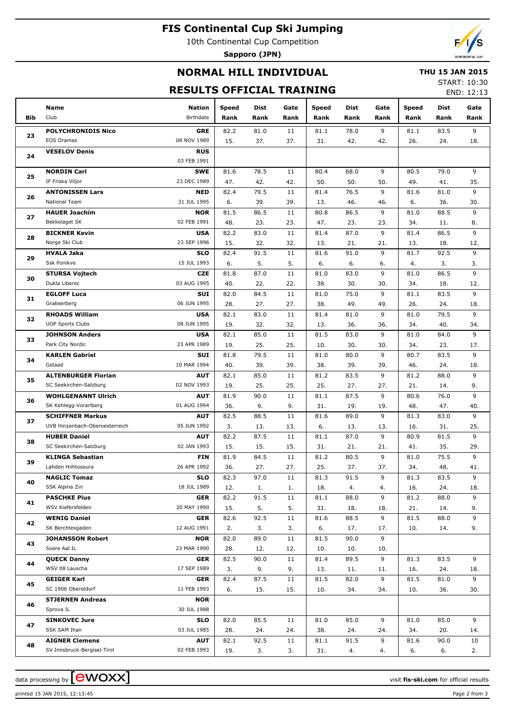# **FIS Continental Cup Ski Jumping**

10th Continental Cup Competition

**Sapporo (JPN)**



### **NORMAL HILL INDIVIDUAL**

#### **THU 15 JAN 2015**

### **RESULTS OFFICIAL TRAINING**

START: 10:30 END: 12:13

|            | Name                                          | <b>Nation</b>             | Speed       | Dist        | Gate            | <b>Speed</b> | <b>Dist</b> | Gate     | <b>Speed</b> | Dist        | Gate      |
|------------|-----------------------------------------------|---------------------------|-------------|-------------|-----------------|--------------|-------------|----------|--------------|-------------|-----------|
| <b>Bib</b> | Club                                          | Birthdate                 | Rank        | Rank        | Rank            | Rank         | Rank        | Rank     | Rank         | Rank        | Rank      |
|            | <b>POLYCHRONIDIS Nico</b>                     | <b>GRE</b>                | 82.2        | 81.0        | 11              | 81.1         | 78.0        | 9        | 81.1         | 83.5        | 9         |
| 23         | <b>EOS Dramas</b>                             | 08 NOV 1989               | 15.         | 37.         | 37.             | 31.          | 42.         | 42.      | 26.          | 24.         | 18.       |
|            | <b>VESELOV Denis</b>                          | <b>RUS</b>                |             |             |                 |              |             |          |              |             |           |
| 24         |                                               | 03 FEB 1991               |             |             |                 |              |             |          |              |             |           |
| 25         | <b>NORDIN Carl</b>                            | <b>SWE</b>                | 81.6        | 78.5        | 11              | 80.4         | 68.0        | 9        | 80.5         | 79.0        | 9         |
|            | IF Friska Viljor                              | 23 DEC 1989               | 47.         | 42.         | 42.             | 50.          | 50.         | 50.      | 49.          | 41.         | 35.       |
| 26         | <b>ANTONISSEN Lars</b>                        | <b>NED</b>                | 82.4        | 79.5        | 11              | 81.4         | 76.5        | 9        | 81.6         | 81.0        | 9         |
|            | National Team                                 | 31 JUL 1995               | 6.          | 39.         | 39.             | 13.          | 46.         | 46.      | 6.           | 36.         | 30.       |
| 27         | <b>HAUER Joachim</b>                          | <b>NOR</b>                | 81.5        | 86.5        | 11              | 80.8         | 86.5        | 9        | 81.0         | 88.5        | 9         |
|            | Bekkelaget SK                                 | 02 FEB 1991               | 48.         | 23.         | 23.             | 47.          | 23.         | 23.      | 34.          | 11.         | 8.        |
| 28         | <b>BICKNER Kevin</b>                          | <b>USA</b>                | 82.2        | 83.0        | 11              | 81.4         | 87.0        | 9        | 81.4         | 86.5        | 9         |
|            | Norge Ski Club                                | 23 SEP 1996               | 15.         | 32.         | 32.             | 13.          | 21.         | 21.      | 13.          | 18.         | 12.       |
| 29         | <b>HVALA Jaka</b><br><b>Ssk Ponikve</b>       | <b>SLO</b><br>15 JUL 1993 | 82.4<br>6.  | 91.5<br>5.  | 11<br>5.        | 81.6<br>6.   | 91.0<br>6.  | 9        | 81.7<br>4.   | 92.5<br>3.  | 9<br>3.   |
|            | <b>STURSA Vojtech</b>                         | <b>CZE</b>                | 81.8        | 87.0        | 11              | 81.0         | 83.0        | 6.<br>9  | 81.0         | 86.5        | 9         |
| 30         | Dukla Liberec                                 | 03 AUG 1995               | 40.         | 22.         | 22.             | 38.          | 30.         | 30.      | 34.          | 18.         | 12.       |
|            | <b>EGLOFF Luca</b>                            | <b>SUI</b>                | 82.0        | 84.5        | 11              | 81.0         | 75.0        | 9        | 81.1         | 83.5        | 9         |
| 31         | Grabserberg                                   | 06 JUN 1995               | 28.         | 27.         | 27.             | 38.          | 49.         | 49.      | 26.          | 24.         | 18.       |
|            | <b>RHOADS William</b>                         | <b>USA</b>                | 82.1        | 83.0        | 11              | 81.4         | 81.0        | 9        | 81.0         | 79.5        | 9         |
| 32         | <b>UOP Sports Clubs</b>                       | 08 JUN 1995               | 19.         | 32.         | 32.             | 13.          | 36.         | 36.      | 34.          | 40.         | 34.       |
|            | <b>JOHNSON Anders</b>                         | <b>USA</b>                | 82.1        | 85.0        | 11              | 81.5         | 83.0        | 9        | 81.0         | 84.0        | 9         |
| 33         | Park City Nordic                              | 23 APR 1989               | 19.         | 25.         | 25.             | 10.          | 30.         | 30.      | 34.          | 23.         | 17.       |
|            | <b>KARLEN Gabriel</b>                         | <b>SUI</b>                | 81.8        | 79.5        | 11              | 81.0         | 80.0        | 9        | 80.7         | 83.5        | 9         |
| 34         | Gstaad                                        | 10 MAR 1994               | 40.         | 39.         | 39.             | 38.          | 39.         | 39.      | 46.          | 24.         | 18.       |
| 35         | <b>ALTENBURGER Florian</b>                    | <b>AUT</b>                | 82.1        | 85.0        | 11              | 81.2         | 83.5        | 9        | 81.2         | 88.0        | 9         |
|            | SC Seekirchen-Salzburg                        | 02 NOV 1993               | 19.         | 25.         | 25.             | 25.          | 27.         | 27.      | 21.          | 14.         | 9.        |
| 36         | <b>WOHLGENANNT Ulrich</b>                     | <b>AUT</b>                | 81.9        | 90.0        | 11              | 81.1         | 87.5        | 9        | 80.6         | 76.0        | 9         |
|            | SK Kehlegg-Vorarlberg                         | 01 AUG 1994               | 36.         | 9.          | 9.              | 31.          | 19.         | 19.      | 48.          | 47.         | 40.       |
| 37         | <b>SCHIFFNER Markus</b>                       | <b>AUT</b>                | 82.5        | 88.5        | 11              | 81.6         | 89.0        | 9        | 81.3         | 83.0        | 9         |
|            | UVB Hinzenbach-Oberoesterreich                | 05 JUN 1992               | 3.          | 13.         | 13.             | 6.           | 13.         | 13.      | 16.          | 31.         | 25.       |
| 38         | <b>HUBER Daniel</b>                           | <b>AUT</b>                | 82.2        | 87.5        | 11              | 81.1         | 87.0        | 9        | 80.9         | 81.5        | 9         |
|            | SC Seekirchen-Salzburg                        | 02 JAN 1993               | 15.         | 15.<br>84.5 | 15.<br>11       | 31.          | 21.<br>80.5 | 21.<br>9 | 41.          | 35.<br>75.5 | 29.<br>9  |
| 39         | <b>KLINGA Sebastian</b><br>Lahden Hiihtoseura | <b>FIN</b><br>26 APR 1992 | 81.9<br>36. | 27.         | 27.             | 81.2<br>25.  | 37.         | 37.      | 81.0<br>34.  | 48.         | 41.       |
|            | <b>NAGLIC Tomaz</b>                           | <b>SLO</b>                | 82.3        | 97.0        | $\overline{11}$ | 81.3         | 91.5        | 9        | 81.3         | 83.5        | 9         |
| 40         | SSK Alpina Ziri                               | 18 JUL 1989               | 12.         | 1.          | 1.              | 18.          | 4.          | 4.       | 16.          | 24.         | 18.       |
|            | <b>PASCHKE Pius</b>                           | <b>GER</b>                | 82.2        | 91.5        | 11              | 81.1         | 88.0        | 9        | 81.2         | 88.0        | 9         |
| 41         | WSV Kiefersfelden                             | 20 MAY 1990               | 15.         | 5.          | 5.              | 31.          | 18.         | 18.      | 21.          | 14.         | 9.        |
|            | <b>WENIG Daniel</b>                           | <b>GER</b>                | 82.6        | 92.5        | 11              | 81.6         | 88.5        | 9        | 81.5         | 88.0        | 9         |
| 42         | SK Berchtesgaden                              | 12 AUG 1991               | 2.          | 3.          | 3.              | 6.           | 17.         | 17.      | 10.          | 14.         | 9.        |
| 43         | <b>JOHANSSON Robert</b>                       | <b>NOR</b>                | 82.0        | 89.0        | 11              | 81.5         | 90.0        | 9        |              |             |           |
|            | Soere Aal IL                                  | 23 MAR 1990               | 28.         | 12.         | 12.             | 10.          | 10.         | 10.      |              |             |           |
| 44         | <b>QUECK Danny</b>                            | <b>GER</b>                | 82.5        | 90.0        | 11              | 81.4         | 89.5        | 9        | 81.3         | 83.5        | 9         |
|            | WSV 08 Lauscha                                | 17 SEP 1989               | 3.          | 9.          | 9.              | 13.          | 11.         | 11.      | 16.          | 24.         | 18.       |
| 45         | <b>GEIGER Karl</b>                            | <b>GER</b>                | 82.4        | 87.5        | 11              | 81.5         | 82.0        | 9        | 81.5         | 81.0        | 9         |
|            | SC 1906 Oberstdorf                            | 11 FEB 1993               | 6.          | 15.         | 15.             | 10.          | 34.         | 34.      | 10.          | 36.         | 30.       |
| 46         | <b>STJERNEN Andreas</b>                       | <b>NOR</b>                |             |             |                 |              |             |          |              |             |           |
|            | Sprova IL                                     | 30 JUL 1988               |             |             |                 |              |             |          |              |             |           |
| 47         | <b>SINKOVEC Jure</b><br>SSK SAM Ihan          | <b>SLO</b><br>03 JUL 1985 | 82.0        | 85.5        | 11<br>24.       | 81.0         | 85.0<br>24. | 9        | 81.0<br>34.  | 85.0        | 9         |
|            | <b>AIGNER Clemens</b>                         | <b>AUT</b>                | 28.<br>82.1 | 24.<br>92.5 | 11              | 38.<br>81.1  | 91.5        | 24.<br>9 | 81.6         | 20.<br>90.0 | 14.<br>10 |
| 48         | SV Innsbruck-Bergisel-Tirol                   | 02 FEB 1993               | 19.         | 3.          | 3.              | 31.          | 4.          | 4.       | 6.           | 6.          | 2.        |

printed 15 JAN 2015, 12:13:45 Page 2 from 3

data processing by  $\boxed{\text{ewOX}}$